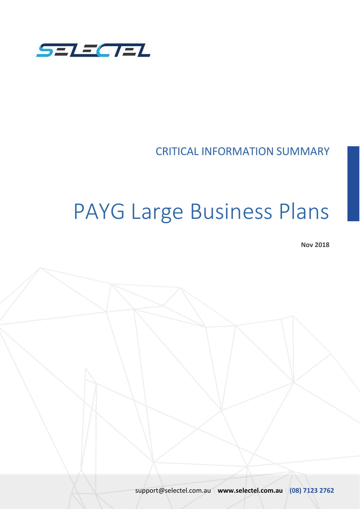

CRITICAL INFORMATION SUMMARY

# PAYG Large Business Plans

**Nov 2018**

support@selectel.com.au | **www.selectel.com.au** | **(08) 7123 2762**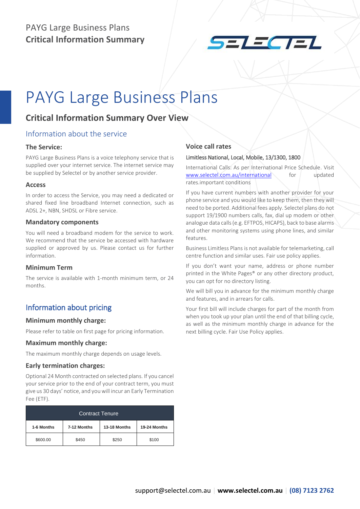

## PAYG Large Business Plans

### **Critical Information Summary Over View**

#### Information about the service

#### **The Service:**

PAYG Large Business Plans is a voice telephony service that is supplied over your internet service. The internet service may be supplied by Selectel or by another service provider.

#### **Access**

In order to access the Service, you may need a dedicated or shared fixed line broadband Internet connection, such as ADSL 2+, NBN, SHDSL or Fibre service.

#### **Mandatory components**

You will need a broadband modem for the service to work. We recommend that the service be accessed with hardware supplied or approved by us. Please contact us for further information.

#### **Minimum Term**

The service is available with 1-month minimum term, or 24 months.

#### Information about pricing

#### **Minimum monthly charge:**

Please refer to table on first page for pricing information.

#### **Maximum monthly charge:**

The maximum monthly charge depends on usage levels.

#### **Early termination charges:**

Optional 24 Month contracted on selected plans. If you cancel your service prior to the end of your contract term, you must give us 30 days' notice, and you will incur an Early Termination Fee (ETF).

| Contract Tenure |             |              |              |  |
|-----------------|-------------|--------------|--------------|--|
| 1-6 Months      | 7-12 Months | 13-18 Months | 19-24 Months |  |
| \$600.00        | \$450       | \$250        | \$100        |  |

#### **Voice call rates**

#### Limitless National, Local, Mobile, 13/1300, 1800

International Calls: As per International Price Schedule. Visit [www.selectel.com.au/international](http://www.selectel.com.au/international) for updated rates.important conditions

If you have current numbers with another provider for your phone service and you would like to keep them, then they will need to be ported. Additional fees apply. Selectel plans do not support 19/1900 numbers calls, fax, dial up modem or other analogue data calls (e.g. EFTPOS, HICAPS), back to base alarms and other monitoring systems using phone lines, and similar features.

Business Limitless Plans is not available for telemarketing, call centre function and similar uses. Fair use policy applies.

If you don't want your name, address or phone number printed in the White Pages® or any other directory product, you can opt for no directory listing.

We will bill you in advance for the minimum monthly charge and features, and in arrears for calls.

Your first bill will include charges for part of the month from when you took up your plan until the end of that billing cycle, as well as the minimum monthly charge in advance for the next billing cycle. Fair Use Policy applies.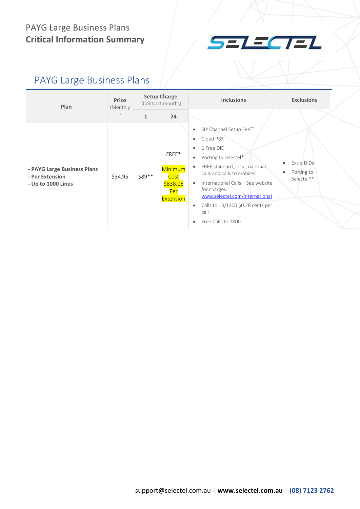

### PAYG Large Business Plans

| Plan                                                                 | Price<br>(Monthly) | <b>Setup Charge</b><br>(Contract months) |                                                          | <b>Inclusions</b>                                                                                                                                                                                                                                                                                                                                                               | <b>Exclusions</b>                                                |
|----------------------------------------------------------------------|--------------------|------------------------------------------|----------------------------------------------------------|---------------------------------------------------------------------------------------------------------------------------------------------------------------------------------------------------------------------------------------------------------------------------------------------------------------------------------------------------------------------------------|------------------------------------------------------------------|
|                                                                      |                    | $\mathbf{1}$                             | 24                                                       |                                                                                                                                                                                                                                                                                                                                                                                 |                                                                  |
| - PAYG Large Business Plans<br>- Per Extension<br>- Up to 1000 Lines | \$34.95            | \$89 **                                  | FREE*<br>Minimum<br>Cost<br>\$838.08<br>Per<br>Extension | SIP Channel Setup Fee**<br>$\bullet$<br>Cloud PBX<br>1 Free DID<br>$\bullet$<br>Porting to selectel*<br>٠<br>FREE standard, local, national<br>$\bullet$<br>calls and calls to mobiles<br>International Calls - See website<br>$\bullet$<br>for charges.<br>www.selectel.com/international<br>Calls to 13/1300 \$0.28 cents per<br>$\bullet$<br>call<br>Free Calls to 1800<br>٠ | Extra DIDs<br>$\bullet$<br>Porting to<br>$\bullet$<br>Selectel** |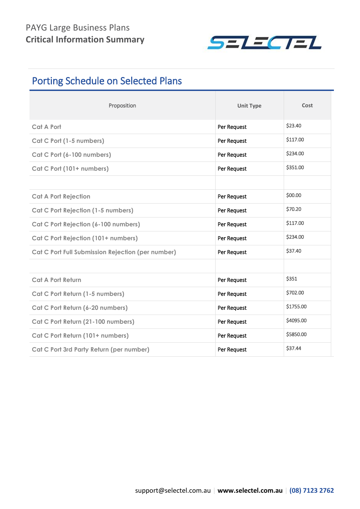

### Porting Schedule on Selected Plans

| Proposition                                       | <b>Unit Type</b> | Cost      |
|---------------------------------------------------|------------------|-----------|
| <b>Cat A Port</b>                                 | Per Request      | \$23.40   |
| Cat C Port (1-5 numbers)                          | Per Request      | \$117.00  |
| Cat C Port (6-100 numbers)                        | Per Request      | \$234.00  |
| Cat C Port (101+ numbers)                         | Per Request      | \$351.00  |
|                                                   |                  |           |
| <b>Cat A Port Rejection</b>                       | Per Request      | \$00.00   |
| Cat C Port Rejection (1-5 numbers)                | Per Request      | \$70.20   |
| Cat C Port Rejection (6-100 numbers)              | Per Request      | \$117.00  |
| Cat C Port Rejection (101+ numbers)               | Per Request      | \$234.00  |
| Cat C Port Full Submission Rejection (per number) | Per Request      | \$37.40   |
|                                                   |                  |           |
| <b>Cat A Port Return</b>                          | Per Request      | \$351     |
| Cat C Port Return (1-5 numbers)                   | Per Request      | \$702.00  |
| Cat C Port Return (6-20 numbers)                  | Per Request      | \$1755.00 |
| Cat C Port Return (21-100 numbers)                | Per Request      | \$4095.00 |
| Cat C Port Return (101+ numbers)                  | Per Request      | \$5850.00 |
| Cat C Port 3rd Party Return (per number)          | Per Request      | \$37.44   |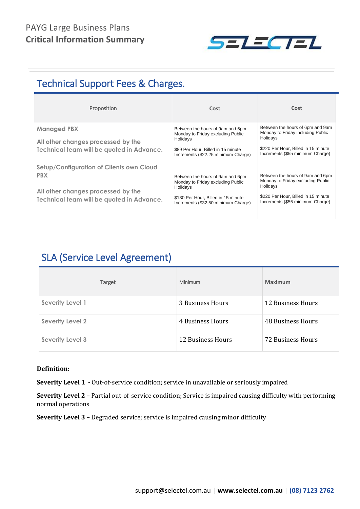

### Technical Support Fees & Charges.

| Proposition                                                                                                                               | Cost                                                                                                                                                            | Cost                                                                                                                                                         |
|-------------------------------------------------------------------------------------------------------------------------------------------|-----------------------------------------------------------------------------------------------------------------------------------------------------------------|--------------------------------------------------------------------------------------------------------------------------------------------------------------|
| <b>Managed PBX</b><br>All other changes processed by the<br>Technical team will be quoted in Advance.                                     | Between the hours of 9am and 6pm<br>Monday to Friday excluding Public<br>Holidays<br>\$89 Per Hour, Billed in 15 minute<br>Increments (\$22.25 minimum Charge)  | Between the hours of 6pm and 9am<br>Monday to Friday including Public<br>Holidays<br>\$220 Per Hour, Billed in 15 minute<br>Increments (\$55 minimum Charge) |
| Setup/Configuration of Clients own Cloud<br><b>PBX</b><br>All other changes processed by the<br>Technical team will be quoted in Advance. | Between the hours of 9am and 6pm<br>Monday to Friday excluding Public<br>Holidays<br>\$130 Per Hour, Billed in 15 minute<br>Increments (\$32.50 minimum Charge) | Between the hours of 9am and 6pm<br>Monday to Friday excluding Public<br>Holidays<br>\$220 Per Hour, Billed in 15 minute<br>Increments (\$55 minimum Charge) |

### SLA (Service Level Agreement)

| Target                  | Minimum           | <b>Maximum</b>           |
|-------------------------|-------------------|--------------------------|
| <b>Severity Level 1</b> | 3 Business Hours  | 12 Business Hours        |
| <b>Severity Level 2</b> | 4 Business Hours  | <b>48 Business Hours</b> |
| <b>Severity Level 3</b> | 12 Business Hours | <b>72 Business Hours</b> |

#### **Definition:**

**Severity Level 1 -** Out-of-service condition; service in unavailable or seriously impaired

**Severity Level 2 –** Partial out-of-service condition; Service is impaired causing difficulty with performing normal operations

**Severity Level 3 –** Degraded service; service is impaired causing minor difficulty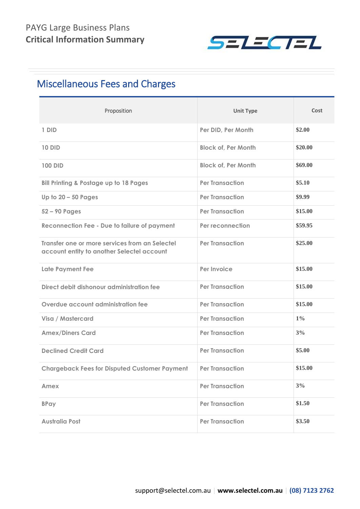

### Miscellaneous Fees and Charges

| Proposition                                                                                  | <b>Unit Type</b>           | Cost    |
|----------------------------------------------------------------------------------------------|----------------------------|---------|
| 1 DID                                                                                        | Per DID, Per Month         | \$2.00  |
| <b>10 DID</b>                                                                                | <b>Block of, Per Month</b> | \$20.00 |
| <b>100 DID</b>                                                                               | <b>Block of, Per Month</b> | \$69.00 |
| <b>Bill Printing &amp; Postage up to 18 Pages</b>                                            | <b>Per Transaction</b>     | \$5.10  |
| Up to $20 - 50$ Pages                                                                        | <b>Per Transaction</b>     | \$9.99  |
| $52 - 90$ Pages                                                                              | <b>Per Transaction</b>     | \$15.00 |
| <b>Reconnection Fee - Due to failure of payment</b>                                          | Per reconnection           | \$59.95 |
| Transfer one or more services from an Selectel<br>account entity to another Selectel account | <b>Per Transaction</b>     | \$25.00 |
| Late Payment Fee                                                                             | Per Invoice                | \$15.00 |
| Direct debit dishonour administration fee                                                    | <b>Per Transaction</b>     | \$15.00 |
| Overdue account administration fee                                                           | <b>Per Transaction</b>     | \$15.00 |
| Visa / Mastercard                                                                            | <b>Per Transaction</b>     | $1\%$   |
| <b>Amex/Diners Card</b>                                                                      | <b>Per Transaction</b>     | 3%      |
| <b>Declined Credit Card</b>                                                                  | <b>Per Transaction</b>     | \$5.00  |
| <b>Chargeback Fees for Disputed Customer Payment</b>                                         | <b>Per Transaction</b>     | \$15.00 |
| Amex                                                                                         | <b>Per Transaction</b>     | 3%      |
| <b>BPay</b>                                                                                  | <b>Per Transaction</b>     | \$1.50  |
| <b>Australia Post</b>                                                                        | <b>Per Transaction</b>     | \$3.50  |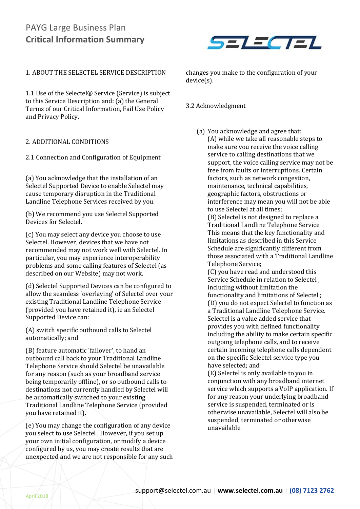

#### 1. ABOUT THE SELECTEL SERVICE DESCRIPTION

1.1 Use of the Selectel® Service (Service) is subject to this Service Description and: (a) the General Terms of our Critical Information, Fail Use Policy and Privacy Policy.

#### 2. ADDITIONAL CONDITIONS

2.1 Connection and Configuration of Equipment

(a) You acknowledge that the installation of an Selectel Supported Device to enable Selectel may cause temporary disruption in the Traditional Landline Telephone Services received by you.

(b) We recommend you use Selectel Supported Devices for Selectel.

(c) You may select any device you choose to use Selectel. However, devices that we have not recommended may not work well with Selectel. In particular, you may experience interoperability problems and some calling features of Selectel (as described on our Website) may not work.

(d) Selectel Supported Devices can be configured to allow the seamless 'overlaying' of Selectel over your existing Traditional Landline Telephone Service (provided you have retained it), ie an Selectel Supported Device can:

(A) switch specific outbound calls to Selectel automatically; and

(B) feature automatic 'failover', to hand an outbound call back to your Traditional Landline Telephone Service should Selectel be unavailable for any reason (such as your broadband service being temporarily offline), or so outbound calls to destinations not currently handled by Selectel will be automatically switched to your existing Traditional Landline Telephone Service (provided you have retained it).

(e) You may change the configuration of any device you select to use Selectel . However, if you set up your own initial configuration, or modify a device configured by us, you may create results that are unexpected and we are not responsible for any such changes you make to the configuration of your device(s).

#### 3.2 Acknowledgment

(a) You acknowledge and agree that: (A) while we take all reasonable steps to make sure you receive the voice calling service to calling destinations that we support, the voice calling service may not be free from faults or interruptions. Certain factors, such as network congestion, maintenance, technical capabilities, geographic factors, obstructions or interference may mean you will not be able to use Selectel at all times;

(B) Selectel is not designed to replace a Traditional Landline Telephone Service. This means that the key functionality and limitations as described in this Service Schedule are significantly different from those associated with a Traditional Landline Telephone Service;

(C) you have read and understood this Service Schedule in relation to Selectel , including without limitation the functionality and limitations of Selectel ; (D) you do not expect Selectel to function as a Traditional Landline Telephone Service. Selectel is a value added service that provides you with defined functionality including the ability to make certain specific outgoing telephone calls, and to receive certain incoming telephone calls dependent on the specific Selectel service type you have selected; and

(E) Selectel is only available to you in conjunction with any broadband internet service which supports a VoIP application. If for any reason your underlying broadband service is suspended, terminated or is otherwise unavailable, Selectel will also be suspended, terminated or otherwise unavailable.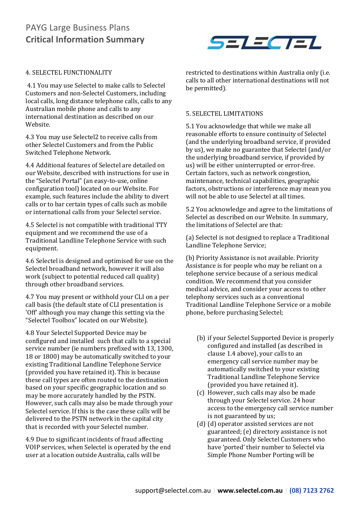

#### 4. SELECTEL FUNCTIONALITY

4.1 You may use Selectel to make calls to Selectel Customers and non-Selectel Customers, including local calls, long distance telephone calls, calls to any Australian mobile phone and calls to any international destination as described on our Website.

4.3 You may use Selectel2 to receive calls from other Selectel Customers and from the Public Switched Telephone Network.

4.4 Additional features of Selectel are detailed on our Website, described with instructions for use in the "Selectel Portal" (an easy-to-use, online configuration tool) located on our Website. For example, such features include the ability to divert calls or to bar certain types of calls such as mobile or international calls from your Selectel service.

4.5 Selectel is not compatible with traditional TTY equipment and we recommend the use of a Traditional Landline Telephone Service with such equipment.

4.6 Selectel is designed and optimised for use on the Selectel broadband network, however it will also work (subject to potential reduced call quality) through other broadband services.

4.7 You may present or withhold your CLI on a per call basis (the default state of CLI presentation is 'Off' although you may change this setting via the "Selectel Toolbox" located on our Website).

4.8 Your Selectel Supported Device may be configured and installed such that calls to a special service number (ie numbers prefixed with 13, 1300, 18 or 1800) may be automatically switched to your existing Traditional Landline Telephone Service (provided you have retained it). This is because these call types are often routed to the destination based on your specific geographic location and so may be more accurately handled by the PSTN. However, such calls may also be made through your Selectel service. If this is the case these calls will be delivered to the PSTN network in the capital city that is recorded with your Selectel number.

4.9 Due to significant incidents of fraud affecting VOIP services, when Selectel is operated by the end user at a location outside Australia, calls will be

restricted to destinations within Australia only (i.e. calls to all other international destinations will not be permitted).

#### 5. SELECTEL LIMITATIONS

5.1 You acknowledge that while we make all reasonable efforts to ensure continuity of Selectel (and the underlying broadband service, if provided by us), we make no guarantee that Selectel (and/or the underlying broadband service, if provided by us) will be either uninterrupted or error-free. Certain factors, such as network congestion, maintenance, technical capabilities, geographic factors, obstructions or interference may mean you will not be able to use Selectel at all times.

5.2 You acknowledge and agree to the limitations of Selectel as described on our Website. In summary, the limitations of Selectel are that:

(a) Selectel is not designed to replace a Traditional Landline Telephone Service;

(b) Priority Assistance is not available. Priority Assistance is for people who may be reliant on a telephone service because of a serious medical condition. We recommend that you consider medical advice, and consider your access to other telephony services such as a conventional Traditional Landline Telephone Service or a mobile phone, before purchasing Selectel;

- (b) if your Selectel Supported Device is properly configured and installed (as described in clause 1.4 above), your calls to an emergency call service number may be automatically switched to your existing Traditional Landline Telephone Service (provided you have retained it).
- (c) However, such calls may also be made through your Selectel service. 24 hour access to the emergency call service number is not guaranteed by us;
- (d) (d) operator assisted services are not guaranteed; (e) directory assistance is not guaranteed. Only Selectel Customers who have 'ported' their number to Selectel via Simple Phone Number Porting will be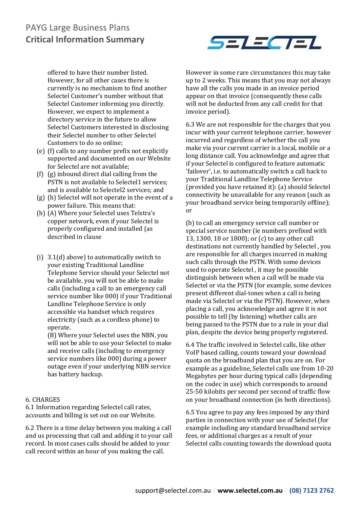

offered to have their number listed. However, for all other cases there is currently is no mechanism to find another Selectel Customer's number without that Selectel Customer informing you directly. However, we expect to implement a directory service in the future to allow Selectel Customers interested in disclosing their Selectel number to other Selectel Customers to do so online;

- (e) (f) calls to any number prefix not explicitly supported and documented on our Website for Selectel are not available;
- (f) (g) inbound direct dial calling from the PSTN is not available to Selectel1 services; and is available to Selectel2 services; and
- (g) (h) Selectel will not operate in the event of a power failure. This means that:
- (h) (A) Where your Selectel uses Telstra's copper network, even if your Selectel is properly configured and installed (as described in clause
- (i) 3.1(d) above) to automatically switch to your existing Traditional Landline Telephone Service should your Selectel not be available, you will not be able to make calls (including a call to an emergency call service number like 000) if your Traditional Landline Telephone Service is only accessible via handset which requires electricity (such as a cordless phone) to operate.

(B) Where your Selectel uses the NBN, you will not be able to use your Selectel to make and receive calls (including to emergency service numbers like 000) during a power outage even if your underlying NBN service has battery backup.

#### 6. CHARGES

6.1 Information regarding Selectel call rates, accounts and billing is set out on our Website.

6.2 There is a time delay between you making a call and us processing that call and adding it to your call record. In most cases calls should be added to your call record within an hour of you making the call.

However in some rare circumstances this may take up to 2 weeks. This means that you may not always have all the calls you made in an invoice period appear on that invoice (consequently these calls will not be deducted from any call credit for that invoice period).

6.3 We are not responsible for the charges that you incur with your current telephone carrier, however incurred and regardless of whether the call you make via your current carrier is a local, mobile or a long distance call. You acknowledge and agree that if your Selectel is configured to feature automatic 'failover', i.e. to automatically switch a call back to your Traditional Landline Telephone Service (provided you have retained it): (a) should Selectel connectivity be unavailable for any reason (such as your broadband service being temporarily offline); or

(b) to call an emergency service call number or special service number (ie numbers prefixed with 13, 1300, 18 or 1800); or (c) to any other call destinations not currently handled by Selectel , you are responsible for all charges incurred in making such calls through the PSTN. With some devices used to operate Selectel , it may be possible distinguish between when a call will be made via Selectel or via the PSTN (for example, some devices present different dial-tones when a call is being made via Selectel or via the PSTN). However, when placing a call, you acknowledge and agree it is not possible to tell (by listening) whether calls are being passed to the PSTN due to a rule in your dial plan, despite the device being properly registered.

6.4 The traffic involved in Selectel calls, like other VoIP based calling, counts toward your download quota on the broadband plan that you are on. For example as a guideline, Selectel calls use from 10-20 Megabytes per hour during typical calls (depending on the codec in use) which corresponds to around 25-50 kilobits per second per second of traffic flow on your broadband connection (in both directions).

6.5 You agree to pay any fees imposed by any third parties in connection with your use of Selectel (for example including any standard broadband service fees, or additional charges as a result of your Selectel calls counting towards the download quota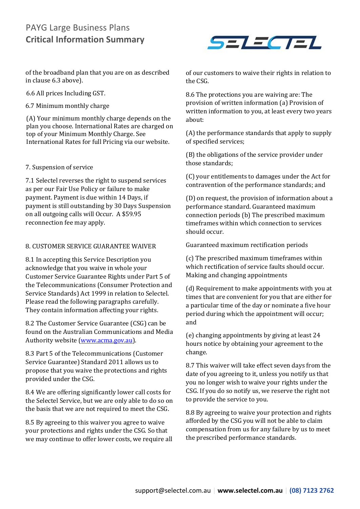of the broadband plan that you are on as described in clause 6.3 above).

6.6 All prices Including GST.

6.7 Minimum monthly charge

(A) Your minimum monthly charge depends on the plan you choose. International Rates are charged on top of your Minimum Monthly Charge. See International Rates for full Pricing via our website.

#### 7. Suspension of service

7.1 Selectel reverses the right to suspend services as per our Fair Use Policy or failure to make payment. Payment is due within 14 Days, if payment is still outstanding by 30 Days Suspension on all outgoing calls will Occur. A \$59.95 reconnection fee may apply.

#### 8. CUSTOMER SERVICE GUARANTEE WAIVER

8.1 In accepting this Service Description you acknowledge that you waive in whole your Customer Service Guarantee Rights under Part 5 of the Telecommunications (Consumer Protection and Service Standards) Act 1999 in relation to Selectel. Please read the following paragraphs carefully. They contain information affecting your rights.

8.2 The Customer Service Guarantee (CSG) can be found on the Australian Communications and Media Authority website [\(www.acma.gov.au\)](http://www.acma.gov.au/).

8.3 Part 5 of the Telecommunications (Customer Service Guarantee) Standard 2011 allows us to propose that you waive the protections and rights provided under the CSG.

8.4 We are offering significantly lower call costs for the Selectel Service, but we are only able to do so on the basis that we are not required to meet the CSG.

8.5 By agreeing to this waiver you agree to waive your protections and rights under the CSG. So that we may continue to offer lower costs, we require all



of our customers to waive their rights in relation to the CSG.

8.6 The protections you are waiving are: The provision of written information (a) Provision of written information to you, at least every two years about:

(A) the performance standards that apply to supply of specified services;

(B) the obligations of the service provider under those standards;

(C) your entitlements to damages under the Act for contravention of the performance standards; and

(D) on request, the provision of information about a performance standard. Guaranteed maximum connection periods (b) The prescribed maximum timeframes within which connection to services should occur.

Guaranteed maximum rectification periods

(c) The prescribed maximum timeframes within which rectification of service faults should occur. Making and changing appointments

(d) Requirement to make appointments with you at times that are convenient for you that are either for a particular time of the day or nominate a five hour period during which the appointment will occur; and

(e) changing appointments by giving at least 24 hours notice by obtaining your agreement to the change.

8.7 This waiver will take effect seven days from the date of you agreeing to it, unless you notify us that you no longer wish to waive your rights under the CSG. If you do so notify us, we reserve the right not to provide the service to you.

8.8 By agreeing to waive your protection and rights afforded by the CSG you will not be able to claim compensation from us for any failure by us to meet the prescribed performance standards.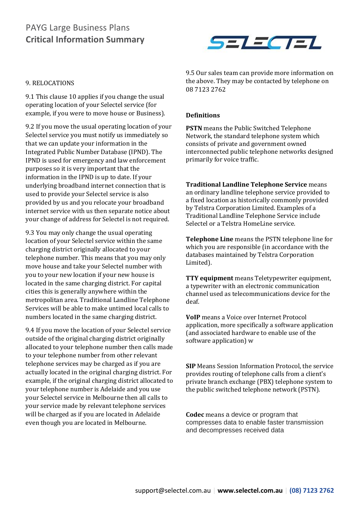

#### 9. RELOCATIONS

9.1 This clause 10 applies if you change the usual operating location of your Selectel service (for example, if you were to move house or Business).

9.2 If you move the usual operating location of your Selectel service you must notify us immediately so that we can update your information in the Integrated Public Number Database (IPND). The IPND is used for emergency and law enforcement purposes so it is very important that the information in the IPND is up to date. If your underlying broadband internet connection that is used to provide your Selectel service is also provided by us and you relocate your broadband internet service with us then separate notice about your change of address for Selectel is not required.

9.3 You may only change the usual operating location of your Selectel service within the same charging district originally allocated to your telephone number. This means that you may only move house and take your Selectel number with you to your new location if your new house is located in the same charging district. For capital cities this is generally anywhere within the metropolitan area. Traditional Landline Telephone Services will be able to make untimed local calls to numbers located in the same charging district.

9.4 If you move the location of your Selectel service outside of the original charging district originally allocated to your telephone number then calls made to your telephone number from other relevant telephone services may be charged as if you are actually located in the original charging district. For example, if the original charging district allocated to your telephone number is Adelaide and you use your Selectel service in Melbourne then all calls to your service made by relevant telephone services will be charged as if you are located in Adelaide even though you are located in Melbourne.

9.5 Our sales team can provide more information on the above. They may be contacted by telephone on 08 7123 2762

#### **Definitions**

**PSTN** means the Public Switched Telephone Network, the standard telephone system which consists of private and government owned interconnected public telephone networks designed primarily for voice traffic.

**Traditional Landline Telephone Service** means an ordinary landline telephone service provided to a fixed location as historically commonly provided by Telstra Corporation Limited. Examples of a Traditional Landline Telephone Service include Selectel or a Telstra HomeLine service.

**Telephone Line** means the PSTN telephone line for which you are responsible (in accordance with the databases maintained by Telstra Corporation Limited).

**TTY equipment** means Teletypewriter equipment, a typewriter with an electronic communication channel used as telecommunications device for the deaf.

**VoIP** means a Voice over Internet Protocol application, more specifically a software application (and associated hardware to enable use of the software application) w

**SIP** Means Session Information Protocol, the service provides routing of telephone calls from a client's private branch exchange (PBX) telephone system to the public switched telephone network (PSTN).

**Codec** means a device or program that compresses data to enable faster transmission and decompresses received data